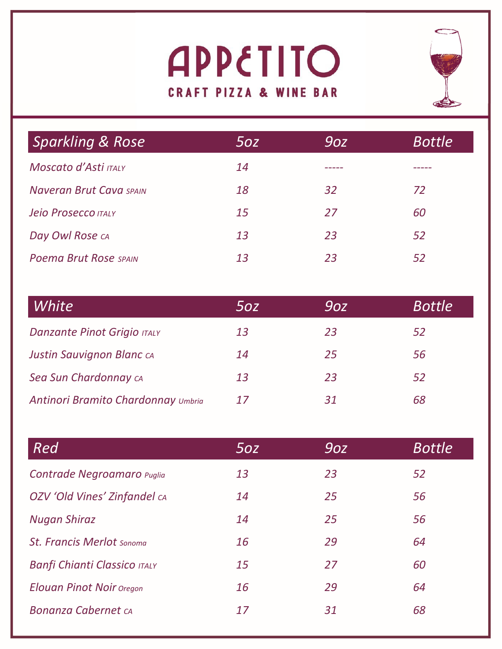# **APPETITO CRAFT PIZZA & WINE BAR**



| <b>Sparkling &amp; Rose</b>    | 5oz | 9oz | <b>Bottle</b> |
|--------------------------------|-----|-----|---------------|
| Moscato d'Asti ITALY           | 14  |     |               |
| <b>Naveran Brut Cava SPAIN</b> | 18  | 32  | 72            |
| Jeio Prosecco ITALY            | 15  | 27  | 60            |
| Day Owl Rose CA                | 13  | 23  | 52            |
| <b>Poema Brut Rose SPAIN</b>   | 13  | 23  | 52            |

| White                              | 50z | 90Z | <b>Bottle</b> |
|------------------------------------|-----|-----|---------------|
| <b>Danzante Pinot Grigio ITALY</b> | 13  | 23  | 52            |
| <b>Justin Sauvignon Blanc CA</b>   | 14  | 25  | 56            |
| Sea Sun Chardonnay CA              | 13  | 23  | 52            |
| Antinori Bramito Chardonnay Umbria | 17  | 31  | 68            |

| Red                                 | 50z | 90Z | <b>Bottle</b> |
|-------------------------------------|-----|-----|---------------|
| Contrade Negroamaro Puglia          | 13  | 23  | 52            |
| OZV 'Old Vines' Zinfandel CA        | 14  | 25  | 56            |
| <b>Nugan Shiraz</b>                 | 14  | 25  | 56            |
| <b>St. Francis Merlot Sonoma</b>    | 16  | 29  | 64            |
| <b>Banfi Chianti Classico ITALY</b> | 15  | 27  | 60            |
| <b>Elouan Pinot Noir Oregon</b>     | 16  | 29  | 64            |
| <b>Bonanza Cabernet CA</b>          | 17  | 31  | 68            |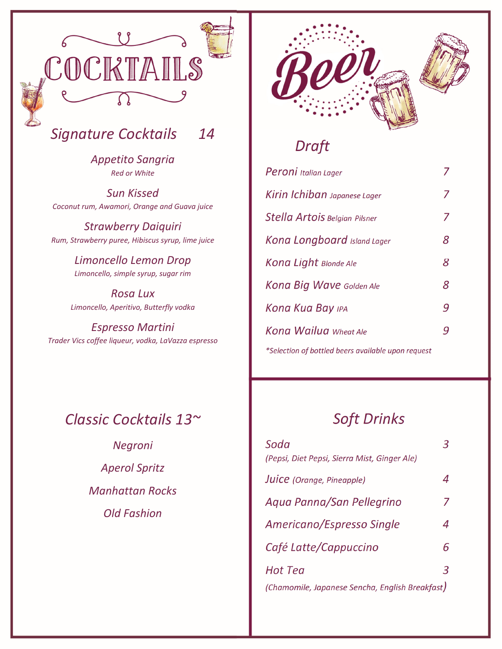

# *Signature Cocktails 14*

*Appetito Sangria Red or White*

*Sun Kissed Coconut rum, Awamori, Orange and Guava juice*

*Strawberry Daiquiri Rum, Strawberry puree, Hibiscus syrup, lime juice*

> *Limoncello Lemon Drop Limoncello, simple syrup, sugar rim*

*Rosa Lux Limoncello, Aperitivo, Butterfly vodka*

*Espresso Martini Trader Vics coffee liqueur, vodka, LaVazza espresso*

# *Classic Cocktails 13~*

*Negroni Aperol Spritz Manhattan Rocks Old Fashion*



# *Draft*

| Peroni Italian Lager                               |   |
|----------------------------------------------------|---|
| Kirin Ichiban Japanese Lager                       | 7 |
| Stella Artois Belgian Pilsner                      | Ζ |
| Kona Longboard Island Lager                        | 8 |
| <b>Kona Light Blonde Ale</b>                       | 8 |
| <b>Kona Big Wave Golden Ale</b>                    | 8 |
| <b>Kona Kua Bay ipa</b>                            | 9 |
| <b>Kona Wailua</b> Wheat Ale                       | g |
| *Selection of bottled beers available upon request |   |

# *Soft Drinks*

| Soda<br>(Pepsi, Diet Pepsi, Sierra Mist, Ginger Ale) |   |
|------------------------------------------------------|---|
| Juice (Orange, Pineapple)                            |   |
| Agua Panna/San Pellegrino                            | 7 |
| Americano/Espresso Single                            | 4 |
| Café Latte/Cappuccino                                | 6 |
| Hot Tea                                              | 3 |
| (Chamomile, Japanese Sencha, English Breakfast)      |   |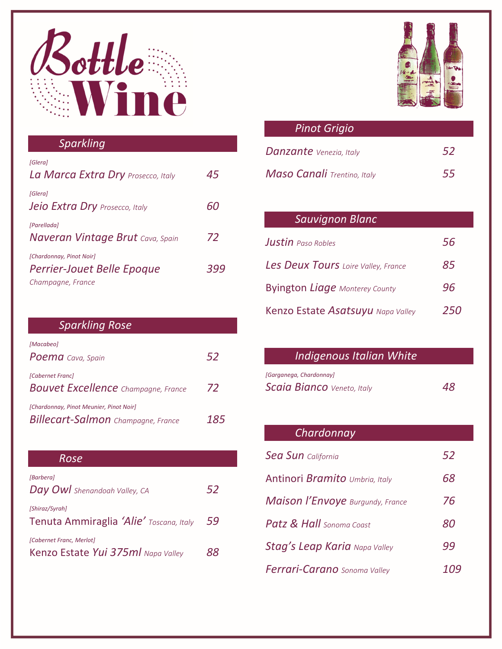

### *Sparkling*

| [Glera]<br>La Marca Extra Dry Prosecco, Italy                               | 45  |
|-----------------------------------------------------------------------------|-----|
| [Glera]<br><b>Jeio Extra Dry</b> Prosecco, Italy                            | 60  |
| [Parellada]<br><b>Naveran Vintage Brut</b> Cava, Spain                      | 72  |
| [Chardonnay, Pinot Noir]<br>Perrier-Jouet Belle Epoque<br>Champagne, France | 395 |

### *Sparkling Rose*

| [Macabeo]<br><b>Poema</b> Cava, Spain                                                | 52  |
|--------------------------------------------------------------------------------------|-----|
| [Cabernet Franc]<br><b>Bouvet Excellence</b> Champagne, France                       | 72  |
| [Chardonnay, Pinot Meunier, Pinot Noir]<br><b>Billecart-Salmon</b> Champagne, France | 185 |

#### *Rose*

| [Barbera]<br>Day Owl Shenandoah Valley, CA                     | 52 |
|----------------------------------------------------------------|----|
| [Shiraz/Syrah]<br>Tenuta Ammiraglia 'Alie' Toscana, Italy      | 59 |
| [Cabernet Franc, Merlot]<br>Kenzo Estate Yui 375ml Napa Valley | xx |



| <b>Pinot Grigio</b>            |     |
|--------------------------------|-----|
| <b>Danzante</b> Venezia, Italy | .52 |
| Maso Canali Trentino, Italy    | 55  |

# *Sauvignon Blanc Justin Paso Robles 56 Les Deux Tours Loire Valley, France 85* Byington *Liage Monterey County 96* Kenzo Estate *Asatsuyu Napa Valley 250*

### *Indigenous Italian White*

| [Garganega, Chardonnay]           |    |
|-----------------------------------|----|
| <b>Scaia Bianco</b> Veneto, Italy | 48 |

### *Chardonnay*

| <b>Sea Sun</b> California               | 52  |
|-----------------------------------------|-----|
| Antinori Bramito Umbria, Italy          | 68  |
| <b>Maison l'Envoye</b> Burgundy, France | 76  |
| <b>Patz &amp; Hall</b> Sonoma Coast     | 80  |
| <b>Stag's Leap Karia</b> Napa Valley    | 99  |
| Ferrari-Carano Sonoma Valley            | 109 |